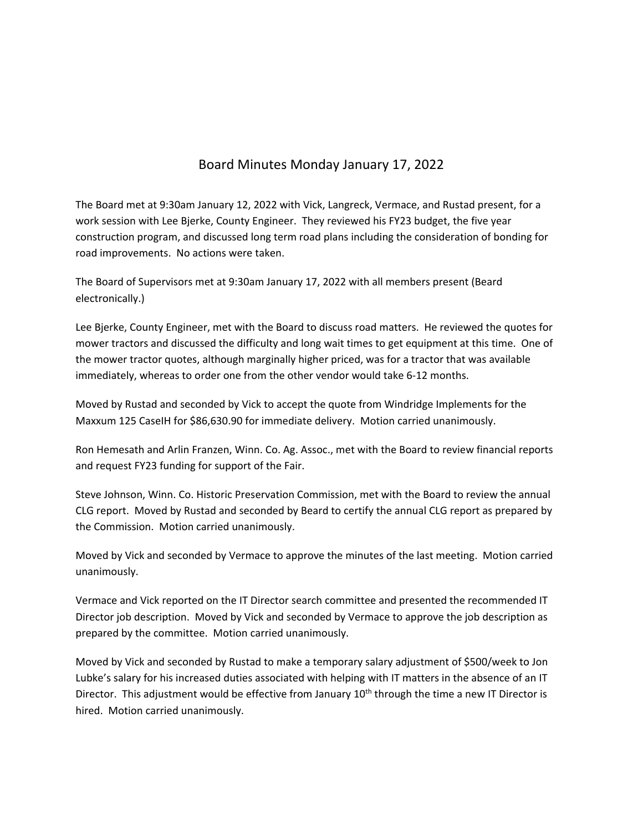## Board Minutes Monday January 17, 2022

The Board met at 9:30am January 12, 2022 with Vick, Langreck, Vermace, and Rustad present, for a work session with Lee Bjerke, County Engineer. They reviewed his FY23 budget, the five year construction program, and discussed long term road plans including the consideration of bonding for road improvements. No actions were taken.

The Board of Supervisors met at 9:30am January 17, 2022 with all members present (Beard electronically.)

Lee Bjerke, County Engineer, met with the Board to discuss road matters. He reviewed the quotes for mower tractors and discussed the difficulty and long wait times to get equipment at this time. One of the mower tractor quotes, although marginally higher priced, was for a tractor that was available immediately, whereas to order one from the other vendor would take 6‐12 months.

Moved by Rustad and seconded by Vick to accept the quote from Windridge Implements for the Maxxum 125 CaseIH for \$86,630.90 for immediate delivery. Motion carried unanimously.

Ron Hemesath and Arlin Franzen, Winn. Co. Ag. Assoc., met with the Board to review financial reports and request FY23 funding for support of the Fair.

Steve Johnson, Winn. Co. Historic Preservation Commission, met with the Board to review the annual CLG report. Moved by Rustad and seconded by Beard to certify the annual CLG report as prepared by the Commission. Motion carried unanimously.

Moved by Vick and seconded by Vermace to approve the minutes of the last meeting. Motion carried unanimously.

Vermace and Vick reported on the IT Director search committee and presented the recommended IT Director job description. Moved by Vick and seconded by Vermace to approve the job description as prepared by the committee. Motion carried unanimously.

Moved by Vick and seconded by Rustad to make a temporary salary adjustment of \$500/week to Jon Lubke's salary for his increased duties associated with helping with IT matters in the absence of an IT Director. This adjustment would be effective from January  $10<sup>th</sup>$  through the time a new IT Director is hired. Motion carried unanimously.